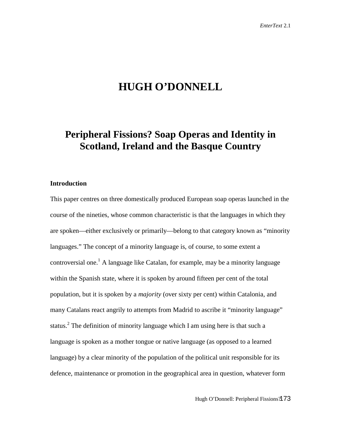# **HUGH O'DONNELL**

# **Peripheral Fissions? Soap Operas and Identity in Scotland, Ireland and the Basque Country**

### **Introduction**

This paper centres on three domestically produced European soap operas launched in the course of the nineties, whose common characteristic is that the languages in which they are spoken—either exclusively or primarily—belong to that category known as "minority languages." The concept of a minority language is, of course, to some extent a controversial one.<sup>1</sup> A language like Catalan, for example, may be a minority language within the Spanish state, where it is spoken by around fifteen per cent of the total population, but it is spoken by a *majority* (over sixty per cent) within Catalonia, and many Catalans react angrily to attempts from Madrid to ascribe it "minority language" status.<sup>2</sup> The definition of minority language which I am using here is that such a language is spoken as a mother tongue or native language (as opposed to a learned language) by a clear minority of the population of the political unit responsible for its defence, maintenance or promotion in the geographical area in question, whatever form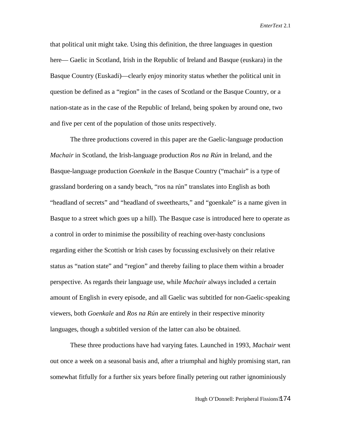that political unit might take. Using this definition, the three languages in question here— Gaelic in Scotland, Irish in the Republic of Ireland and Basque (euskara) in the Basque Country (Euskadi)—clearly enjoy minority status whether the political unit in question be defined as a "region" in the cases of Scotland or the Basque Country, or a nation-state as in the case of the Republic of Ireland, being spoken by around one, two and five per cent of the population of those units respectively.

The three productions covered in this paper are the Gaelic-language production *Machair* in Scotland, the Irish-language production *Ros na Rún* in Ireland, and the Basque-language production *Goenkale* in the Basque Country ("machair" is a type of grassland bordering on a sandy beach, "ros na rún" translates into English as both "headland of secrets" and "headland of sweethearts," and "goenkale" is a name given in Basque to a street which goes up a hill). The Basque case is introduced here to operate as a control in order to minimise the possibility of reaching over-hasty conclusions regarding either the Scottish or Irish cases by focussing exclusively on their relative status as "nation state" and "region" and thereby failing to place them within a broader perspective. As regards their language use, while *Machair* always included a certain amount of English in every episode, and all Gaelic was subtitled for non-Gaelic-speaking viewers, both *Goenkale* and *Ros na Rún* are entirely in their respective minority languages, though a subtitled version of the latter can also be obtained.

These three productions have had varying fates. Launched in 1993, *Machair* went out once a week on a seasonal basis and, after a triumphal and highly promising start, ran somewhat fitfully for a further six years before finally petering out rather ignominiously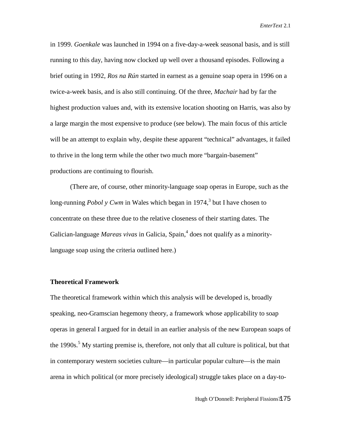in 1999. *Goenkale* was launched in 1994 on a five-day-a-week seasonal basis, and is still running to this day, having now clocked up well over a thousand episodes. Following a brief outing in 1992, *Ros na Rún* started in earnest as a genuine soap opera in 1996 on a twice-a-week basis, and is also still continuing. Of the three, *Machair* had by far the highest production values and, with its extensive location shooting on Harris, was also by a large margin the most expensive to produce (see below). The main focus of this article will be an attempt to explain why, despite these apparent "technical" advantages, it failed to thrive in the long term while the other two much more "bargain-basement" productions are continuing to flourish.

(There are, of course, other minority-language soap operas in Europe, such as the long-running *Pobol y Cwm* in Wales which began in 1974,<sup>3</sup> but I have chosen to concentrate on these three due to the relative closeness of their starting dates. The Galician-language *Mareas vivas* in Galicia, Spain,<sup>4</sup> does not qualify as a minoritylanguage soap using the criteria outlined here.)

#### **Theoretical Framework**

The theoretical framework within which this analysis will be developed is, broadly speaking, neo-Gramscian hegemony theory, a framework whose applicability to soap operas in general I argued for in detail in an earlier analysis of the new European soaps of the 1990s.<sup>5</sup> My starting premise is, therefore, not only that all culture is political, but that in contemporary western societies culture—in particular popular culture—is the main arena in which political (or more precisely ideological) struggle takes place on a day-to-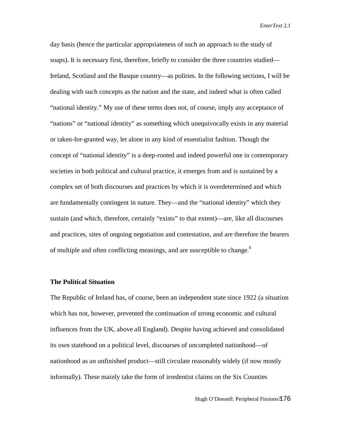day basis (hence the particular appropriateness of such an approach to the study of soaps). It is necessary first, therefore, briefly to consider the three countries studied— Ireland, Scotland and the Basque country—as polities. In the following sections, I will be dealing with such concepts as the nation and the state, and indeed what is often called "national identity." My use of these terms does not, of course, imply any acceptance of "nations" or "national identity" as something which unequivocally exists in any material or taken-for-granted way, let alone in any kind of essentialist fashion. Though the concept of "national identity" is a deep-rooted and indeed powerful one in contemporary societies in both political and cultural practice, it emerges from and is sustained by a complex set of both discourses and practices by which it is overdetermined and which are fundamentally contingent in nature. They—and the "national identity" which they sustain (and which, therefore, certainly "exists" to that extent)—are, like all discourses and practices, sites of ongoing negotiation and contestation, and are therefore the bearers of multiple and often conflicting meanings, and are susceptible to change.<sup>6</sup>

### **The Political Situation**

The Republic of Ireland has, of course, been an independent state since 1922 (a situation which has not, however, prevented the continuation of strong economic and cultural influences from the UK, above all England). Despite having achieved and consolidated its own statehood on a political level, discourses of uncompleted nationhood—of nationhood as an unfinished product—still circulate reasonably widely (if now mostly informally). These mainly take the form of irredentist claims on the Six Counties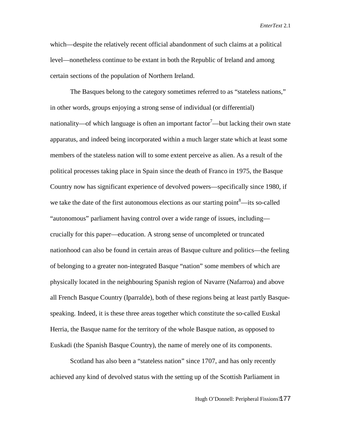which—despite the relatively recent official abandonment of such claims at a political level—nonetheless continue to be extant in both the Republic of Ireland and among certain sections of the population of Northern Ireland.

The Basques belong to the category sometimes referred to as "stateless nations," in other words, groups enjoying a strong sense of individual (or differential) nationality—of which language is often an important factor<sup>7</sup>—but lacking their own state apparatus, and indeed being incorporated within a much larger state which at least some members of the stateless nation will to some extent perceive as alien. As a result of the political processes taking place in Spain since the death of Franco in 1975, the Basque Country now has significant experience of devolved powers—specifically since 1980, if we take the date of the first autonomous elections as our starting point  $8$ —its so-called "autonomous" parliament having control over a wide range of issues, including crucially for this paper—education. A strong sense of uncompleted or truncated nationhood can also be found in certain areas of Basque culture and politics—the feeling of belonging to a greater non-integrated Basque "nation" some members of which are physically located in the neighbouring Spanish region of Navarre (Nafarroa) and above all French Basque Country (Iparralde), both of these regions being at least partly Basquespeaking. Indeed, it is these three areas together which constitute the so-called Euskal Herria, the Basque name for the territory of the whole Basque nation, as opposed to Euskadi (the Spanish Basque Country), the name of merely one of its components.

Scotland has also been a "stateless nation" since 1707, and has only recently achieved any kind of devolved status with the setting up of the Scottish Parliament in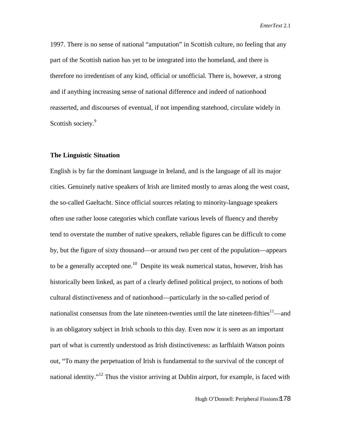1997. There is no sense of national "amputation" in Scottish culture, no feeling that any part of the Scottish nation has yet to be integrated into the homeland, and there is therefore no irredentism of any kind, official or unofficial. There is, however, a strong and if anything increasing sense of national difference and indeed of nationhood reasserted, and discourses of eventual, if not impending statehood, circulate widely in Scottish society.<sup>9</sup>

## **The Linguistic Situation**

English is by far the dominant language in Ireland, and is the language of all its major cities. Genuinely native speakers of Irish are limited mostly to areas along the west coast, the so-called Gaeltacht. Since official sources relating to minority-language speakers often use rather loose categories which conflate various levels of fluency and thereby tend to overstate the number of native speakers, reliable figures can be difficult to come by, but the figure of sixty thousand—or around two per cent of the population—appears to be a generally accepted one.<sup>10</sup> Despite its weak numerical status, however, Irish has historically been linked, as part of a clearly defined political project, to notions of both cultural distinctiveness and of nationhood—particularly in the so-called period of nationalist consensus from the late nineteen-twenties until the late nineteen-fifties<sup>11</sup>—and is an obligatory subject in Irish schools to this day. Even now it is seen as an important part of what is currently understood as Irish distinctiveness: as Iarfhlaith Watson points out, "To many the perpetuation of Irish is fundamental to the survival of the concept of national identity."<sup>12</sup> Thus the visitor arriving at Dublin airport, for example, is faced with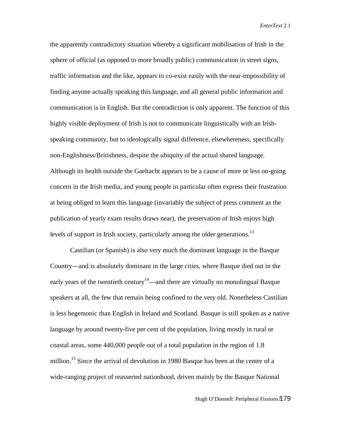the apparently contradictory situation whereby a significant mobilisation of Irish in the sphere of official (as opposed to more broadly public) communication in street signs, traffic information and the like, appears to co-exist easily with the near-impossibility of finding anyone actually speaking this language, and all general public information and communication is in English. But the contradiction is only apparent. The function of this highly visible deployment of Irish is not to communicate linguistically with an Irishspeaking community, but to ideologically signal difference, elsewhereness, specifically non-Englishness/Britishness, despite the ubiquity of the actual shared language. Although its health outside the Gaeltacht appears to be a cause of more or less on-going concern in the Irish media, and young people in particular often express their frustration at being obliged to learn this language (invariably the subject of press comment as the publication of yearly exam results draws near), the preservation of Irish enjoys high levels of support in Irish society, particularly among the older generations.<sup>13</sup>

Castilian (or Spanish) is also very much the dominant language in the Basque Country—and is absolutely dominant in the large cities, where Basque died out in the early years of the twentieth century<sup>14</sup>—and there are virtually no monolingual Basque speakers at all, the few that remain being confined to the very old. Nonetheless Castilian is less hegemonic than English in Ireland and Scotland. Basque is still spoken as a native language by around twenty-five per cent of the population, living mostly in rural or coastal areas, some 440,000 people out of a total population in the region of 1.8 million.<sup>15</sup> Since the arrival of devolution in 1980 Basque has been at the centre of a wide-ranging project of reasserted nationhood, driven mainly by the Basque National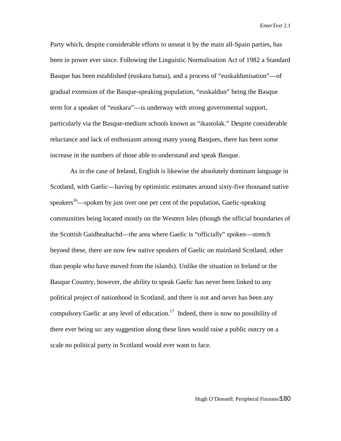Party which, despite considerable efforts to unseat it by the main all-Spain parties, has been in power ever since. Following the Linguistic Normalisation Act of 1982 a Standard Basque has been established (euskara batua), and a process of "euskaldunisation"—of gradual extension of the Basque-speaking population, "euskaldun" being the Basque term for a speaker of "euskara"—is underway with strong governmental support, particularly via the Basque-medium schools known as "ikastolak." Despite considerable reluctance and lack of enthusiasm among many young Basques, there has been some increase in the numbers of those able to understand and speak Basque.

As in the case of Ireland, English is likewise the absolutely dominant language in Scotland, with Gaelic—having by optimistic estimates around sixty-five thousand native speakers<sup>16</sup>—spoken by just over one per cent of the population, Gaelic-speaking communities being located mostly on the Western Isles (though the official boundaries of the Scottish Gaidhealtachd—the area where Gaelic is "officially" spoken—stretch beyond these, there are now few native speakers of Gaelic on mainland Scotland, other than people who have moved from the islands). Unlike the situation in Ireland or the Basque Country, however, the ability to speak Gaelic has never been linked to any political project of nationhood in Scotland, and there is not and never has been any compulsory Gaelic at any level of education.<sup>17</sup> Indeed, there is now no possibility of there ever being so: any suggestion along these lines would raise a public outcry on a scale no political party in Scotland would ever want to face.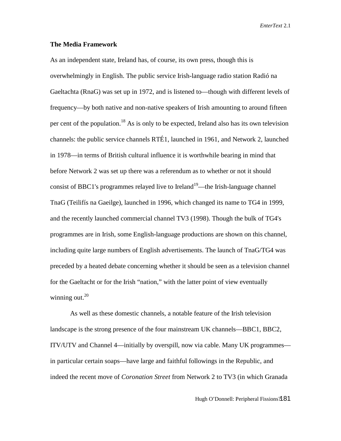#### **The Media Framework**

As an independent state, Ireland has, of course, its own press, though this is overwhelmingly in English. The public service Irish-language radio station Radió na Gaeltachta (RnaG) was set up in 1972, and is listened to—though with different levels of frequency—by both native and non-native speakers of Irish amounting to around fifteen per cent of the population.<sup>18</sup> As is only to be expected, Ireland also has its own television channels: the public service channels RTÉ1, launched in 1961, and Network 2, launched in 1978—in terms of British cultural influence it is worthwhile bearing in mind that before Network 2 was set up there was a referendum as to whether or not it should consist of BBC1's programmes relayed live to Ireland<sup>19</sup>—the Irish-language channel TnaG (Teilifís na Gaeilge), launched in 1996, which changed its name to TG4 in 1999, and the recently launched commercial channel TV3 (1998). Though the bulk of TG4's programmes are in Irish, some English-language productions are shown on this channel, including quite large numbers of English advertisements. The launch of TnaG/TG4 was preceded by a heated debate concerning whether it should be seen as a television channel for the Gaeltacht or for the Irish "nation," with the latter point of view eventually winning out. $20$ 

As well as these domestic channels, a notable feature of the Irish television landscape is the strong presence of the four mainstream UK channels—BBC1, BBC2, ITV/UTV and Channel 4—initially by overspill, now via cable. Many UK programmes in particular certain soaps—have large and faithful followings in the Republic, and indeed the recent move of *Coronation Street* from Network 2 to TV3 (in which Granada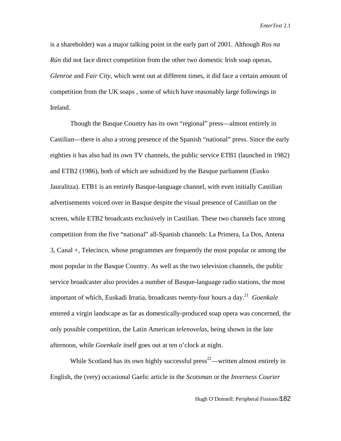is a shareholder) was a major talking point in the early part of 2001. Although *Ros na Rún* did not face direct competition from the other two domestic Irish soap operas, *Glenroe* and *Fair City*, which went out at different times, it did face a certain amount of competition from the UK soaps , some of which have reasonably large followings in Ireland.

Though the Basque Country has its own "regional" press—almost entirely in Castilian—there is also a strong presence of the Spanish "national" press. Since the early eighties it has also had its own TV channels, the public service ETB1 (launched in 1982) and ETB2 (1986), both of which are subsidized by the Basque parliament (Eusko Jauralitza). ETB1 is an entirely Basque-language channel, with even initially Castilian advertisements voiced over in Basque despite the visual presence of Castilian on the screen, while ETB2 broadcasts exclusively in Castilian. These two channels face strong competition from the five "national" all-Spanish channels: La Primera, La Dos, Antena 3, Canal +, Telecinco, whose programmes are frequently the most popular or among the most popular in the Basque Country. As well as the two television channels, the public service broadcaster also provides a number of Basque-language radio stations, the most important of which, Euskadi Irratia, broadcasts twenty-four hours a day.21 *Goenkale* entered a virgin landscape as far as domestically-produced soap opera was concerned, the only possible competition, the Latin American *telenovelas*, being shown in the late afternoon, while *Goenkale* itself goes out at ten o'clock at night.

While Scotland has its own highly successful press $^{22}$ —written almost entirely in English, the (very) occasional Gaelic article in the *Scotsman* or the *Inverness Courier*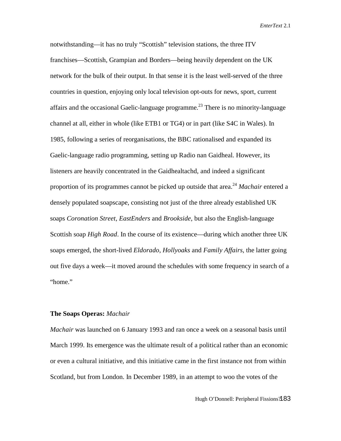notwithstanding—it has no truly "Scottish" television stations, the three ITV franchises—Scottish, Grampian and Borders—being heavily dependent on the UK network for the bulk of their output. In that sense it is the least well-served of the three countries in question, enjoying only local television opt-outs for news, sport, current affairs and the occasional Gaelic-language programme.<sup>23</sup> There is no minority-language channel at all, either in whole (like ETB1 or TG4) or in part (like S4C in Wales). In 1985, following a series of reorganisations, the BBC rationalised and expanded its Gaelic-language radio programming, setting up Radio nan Gaidheal. However, its listeners are heavily concentrated in the Gaidhealtachd, and indeed a significant proportion of its programmes cannot be picked up outside that area.<sup>24</sup> *Machair* entered a densely populated soapscape, consisting not just of the three already established UK soaps *Coronation Street*, *EastEnders* and *Brookside*, but also the English-language Scottish soap *High Road*. In the course of its existence—during which another three UK soaps emerged, the short-lived *Eldorado*, *Hollyoaks* and *Family Affairs*, the latter going out five days a week—it moved around the schedules with some frequency in search of a "home."

## **The Soaps Operas:** *Machair*

*Machair* was launched on 6 January 1993 and ran once a week on a seasonal basis until March 1999. Its emergence was the ultimate result of a political rather than an economic or even a cultural initiative, and this initiative came in the first instance not from within Scotland, but from London. In December 1989, in an attempt to woo the votes of the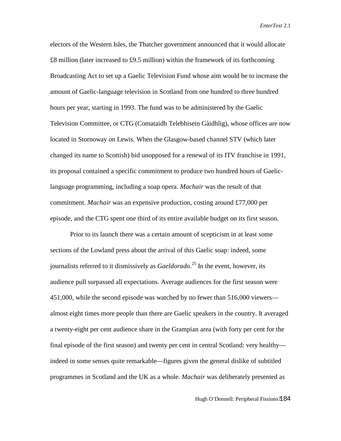electors of the Western Isles, the Thatcher government announced that it would allocate £8 million (later increased to £9.5 million) within the framework of its forthcoming Broadcasting Act to set up a Gaelic Television Fund whose aim would be to increase the amount of Gaelic-language television in Scotland from one hundred to three hundred hours per year, starting in 1993. The fund was to be administered by the Gaelic Television Committee, or CTG (Comataidh Telebhisein Gàidhlig), whose offices are now located in Stornoway on Lewis. When the Glasgow-based channel STV (which later changed its name to Scottish) bid unopposed for a renewal of its ITV franchise in 1991, its proposal contained a specific commitment to produce two hundred hours of Gaeliclanguage programming, including a soap opera. *Machair* was the result of that commitment. *Machair* was an expensive production, costing around £77,000 per episode, and the CTG spent one third of its entire available budget on its first season.

Prior to its launch there was a certain amount of scepticism in at least some sections of the Lowland press about the arrival of this Gaelic soap: indeed, some journalists referred to it dismissively as *Gaeldorado*. 25 In the event, however, its audience pull surpassed all expectations. Average audiences for the first season were 451,000, while the second episode was watched by no fewer than 516,000 viewers almost eight times more people than there are Gaelic speakers in the country. It averaged a twenty-eight per cent audience share in the Grampian area (with forty per cent for the final episode of the first season) and twenty per cent in central Scotland: very healthy indeed in some senses quite remarkable—figures given the general dislike of subtitled programmes in Scotland and the UK as a whole. *Machair* was deliberately presented as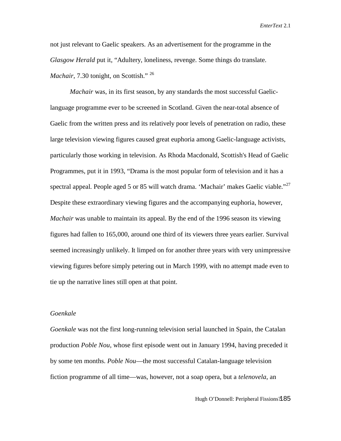not just relevant to Gaelic speakers. As an advertisement for the programme in the *Glasgow Herald* put it, "Adultery, loneliness, revenge. Some things do translate. *Machair*, 7.30 tonight, on Scottish." <sup>26</sup>

*Machair* was, in its first season, by any standards the most successful Gaeliclanguage programme ever to be screened in Scotland. Given the near-total absence of Gaelic from the written press and its relatively poor levels of penetration on radio, these large television viewing figures caused great euphoria among Gaelic-language activists, particularly those working in television. As Rhoda Macdonald, Scottish's Head of Gaelic Programmes, put it in 1993, "Drama is the most popular form of television and it has a spectral appeal. People aged 5 or 85 will watch drama. 'Machair' makes Gaelic viable."<sup>27</sup> Despite these extraordinary viewing figures and the accompanying euphoria, however, *Machair* was unable to maintain its appeal. By the end of the 1996 season its viewing figures had fallen to 165,000, around one third of its viewers three years earlier. Survival seemed increasingly unlikely. It limped on for another three years with very unimpressive viewing figures before simply petering out in March 1999, with no attempt made even to tie up the narrative lines still open at that point.

## *Goenkale*

*Goenkale* was not the first long-running television serial launched in Spain, the Catalan production *Poble Nou*, whose first episode went out in January 1994, having preceded it by some ten months. *Poble Nou*—the most successful Catalan-language television fiction programme of all time—was, however, not a soap opera, but a *telenovela*, an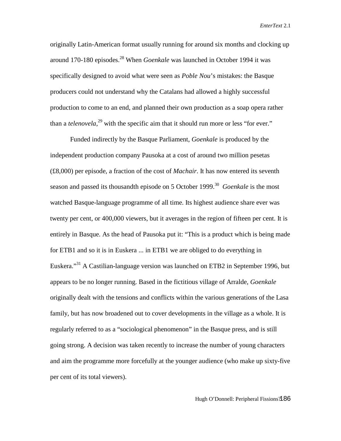originally Latin-American format usually running for around six months and clocking up around 170-180 episodes.<sup>28</sup> When *Goenkale* was launched in October 1994 it was specifically designed to avoid what were seen as *Poble Nou*'s mistakes: the Basque producers could not understand why the Catalans had allowed a highly successful production to come to an end, and planned their own production as a soap opera rather than a *telenovela*,<sup>29</sup> with the specific aim that it should run more or less "for ever."

Funded indirectly by the Basque Parliament, *Goenkale* is produced by the independent production company Pausoka at a cost of around two million pesetas (£8,000) per episode, a fraction of the cost of *Machair*. It has now entered its seventh season and passed its thousandth episode on 5 October 1999.<sup>30</sup> *Goenkale* is the most watched Basque-language programme of all time. Its highest audience share ever was twenty per cent, or 400,000 viewers, but it averages in the region of fifteen per cent. It is entirely in Basque. As the head of Pausoka put it: "This is a product which is being made for ETB1 and so it is in Euskera ... in ETB1 we are obliged to do everything in Euskera."31 A Castilian-language version was launched on ETB2 in September 1996, but appears to be no longer running. Based in the fictitious village of Arralde, *Goenkale* originally dealt with the tensions and conflicts within the various generations of the Lasa family, but has now broadened out to cover developments in the village as a whole. It is regularly referred to as a "sociological phenomenon" in the Basque press, and is still going strong. A decision was taken recently to increase the number of young characters and aim the programme more forcefully at the younger audience (who make up sixty-five per cent of its total viewers).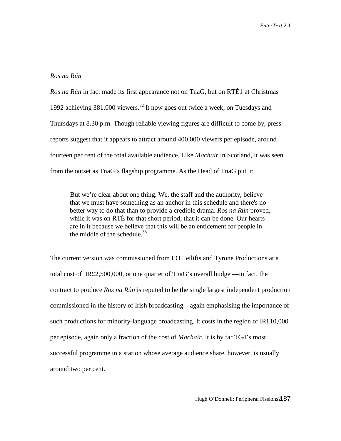### *Ros na Rún*

*Ros na Rún* in fact made its first appearance not on TnaG, but on RTÉ1 at Christmas 1992 achieving  $381,000$  viewers.<sup>32</sup> It now goes out twice a week, on Tuesdays and Thursdays at 8.30 p.m. Though reliable viewing figures are difficult to come by, press reports suggest that it appears to attract around 400,000 viewers per episode, around fourteen per cent of the total available audience. Like *Machair* in Scotland, it was seen from the outset as TnaG's flagship programme. As the Head of TnaG put it:

But we're clear about one thing. We, the staff and the authority, believe that we must have something as an anchor in this schedule and there's no better way to do that than to provide a credible drama. *Ros na Rún* proved, while it was on RTÉ for that short period, that it can be done. Our hearts are in it because we believe that this will be an enticement for people in the middle of the schedule  $33$ 

The current version was commissioned from EO Teilifis and Tyrone Productions at a total cost of IR£2,500,000, or one quarter of TnaG's overall budget—in fact, the contract to produce *Ros na Rún* is reputed to be the single largest independent production commissioned in the history of Irish broadcasting—again emphasising the importance of such productions for minority-language broadcasting. It costs in the region of IR£10,000 per episode, again only a fraction of the cost of *Machair*. It is by far TG4's most successful programme in a station whose average audience share, however, is usually around two per cent.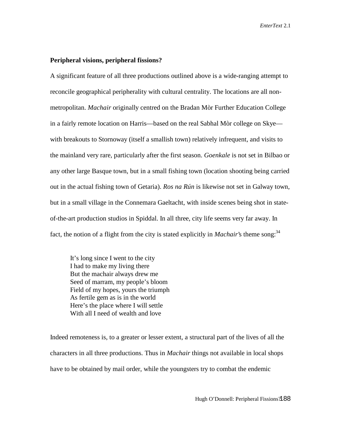#### **Peripheral visions, peripheral fissions?**

A significant feature of all three productions outlined above is a wide-ranging attempt to reconcile geographical peripherality with cultural centrality. The locations are all nonmetropolitan. *Machair* originally centred on the Bradan Mòr Further Education College in a fairly remote location on Harris—based on the real Sabhal Mòr college on Skye with breakouts to Stornoway (itself a smallish town) relatively infrequent, and visits to the mainland very rare, particularly after the first season. *Goenkale* is not set in Bilbao or any other large Basque town, but in a small fishing town (location shooting being carried out in the actual fishing town of Getaria). *Ros na Rún* is likewise not set in Galway town, but in a small village in the Connemara Gaeltacht, with inside scenes being shot in stateof-the-art production studios in Spiddal. In all three, city life seems very far away. In fact, the notion of a flight from the city is stated explicitly in *Machair*'s theme song:<sup>34</sup>

It's long since I went to the city I had to make my living there But the machair always drew me Seed of marram, my people's bloom Field of my hopes, yours the triumph As fertile gem as is in the world Here's the place where I will settle With all I need of wealth and love

Indeed remoteness is, to a greater or lesser extent, a structural part of the lives of all the characters in all three productions. Thus in *Machair* things not available in local shops have to be obtained by mail order, while the youngsters try to combat the endemic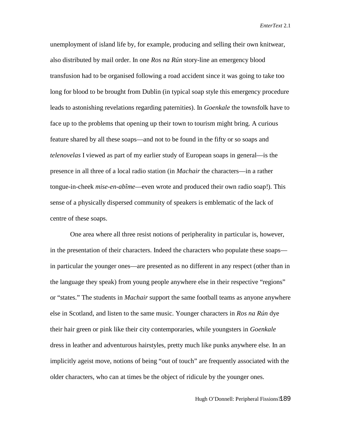unemployment of island life by, for example, producing and selling their own knitwear, also distributed by mail order. In one *Ros na Rún* story-line an emergency blood transfusion had to be organised following a road accident since it was going to take too long for blood to be brought from Dublin (in typical soap style this emergency procedure leads to astonishing revelations regarding paternities). In *Goenkale* the townsfolk have to face up to the problems that opening up their town to tourism might bring. A curious feature shared by all these soaps—and not to be found in the fifty or so soaps and *telenovelas* I viewed as part of my earlier study of European soaps in general—is the presence in all three of a local radio station (in *Machair* the characters—in a rather tongue-in-cheek *mise-en-abîme*—even wrote and produced their own radio soap!). This sense of a physically dispersed community of speakers is emblematic of the lack of centre of these soaps.

One area where all three resist notions of peripherality in particular is, however, in the presentation of their characters. Indeed the characters who populate these soaps in particular the younger ones—are presented as no different in any respect (other than in the language they speak) from young people anywhere else in their respective "regions" or "states." The students in *Machair* support the same football teams as anyone anywhere else in Scotland, and listen to the same music. Younger characters in *Ros na Rún* dye their hair green or pink like their city contemporaries, while youngsters in *Goenkale* dress in leather and adventurous hairstyles, pretty much like punks anywhere else. In an implicitly ageist move, notions of being "out of touch" are frequently associated with the older characters, who can at times be the object of ridicule by the younger ones.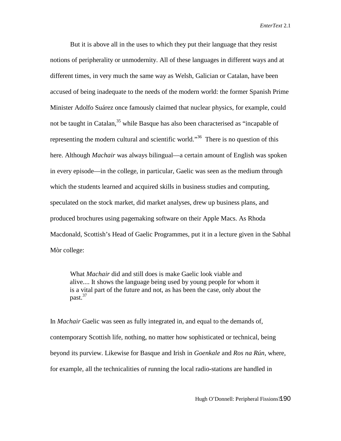But it is above all in the uses to which they put their language that they resist notions of peripherality or unmodernity. All of these languages in different ways and at different times, in very much the same way as Welsh, Galician or Catalan, have been accused of being inadequate to the needs of the modern world: the former Spanish Prime Minister Adolfo Suárez once famously claimed that nuclear physics, for example, could not be taught in Catalan,<sup>35</sup> while Basque has also been characterised as "incapable of representing the modern cultural and scientific world.<sup>36</sup> There is no question of this here. Although *Machair* was always bilingual—a certain amount of English was spoken in every episode—in the college, in particular, Gaelic was seen as the medium through which the students learned and acquired skills in business studies and computing, speculated on the stock market, did market analyses, drew up business plans, and produced brochures using pagemaking software on their Apple Macs. As Rhoda Macdonald, Scottish's Head of Gaelic Programmes, put it in a lecture given in the Sabhal Mòr college:

What *Machair* did and still does is make Gaelic look viable and alive.... It shows the language being used by young people for whom it is a vital part of the future and not, as has been the case, only about the past.<sup>37</sup>

In *Machair* Gaelic was seen as fully integrated in, and equal to the demands of, contemporary Scottish life, nothing, no matter how sophisticated or technical, being beyond its purview. Likewise for Basque and Irish in *Goenkale* and *Ros na Rún,* where, for example, all the technicalities of running the local radio-stations are handled in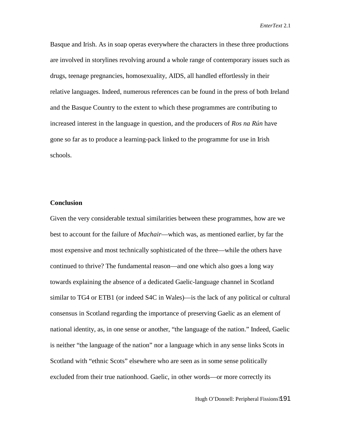Basque and Irish. As in soap operas everywhere the characters in these three productions are involved in storylines revolving around a whole range of contemporary issues such as drugs, teenage pregnancies, homosexuality, AIDS, all handled effortlessly in their relative languages. Indeed, numerous references can be found in the press of both Ireland and the Basque Country to the extent to which these programmes are contributing to increased interest in the language in question, and the producers of *Ros na Rún* have gone so far as to produce a learning-pack linked to the programme for use in Irish schools.

## **Conclusion**

Given the very considerable textual similarities between these programmes, how are we best to account for the failure of *Machair*—which was, as mentioned earlier, by far the most expensive and most technically sophisticated of the three—while the others have continued to thrive? The fundamental reason—and one which also goes a long way towards explaining the absence of a dedicated Gaelic-language channel in Scotland similar to TG4 or ETB1 (or indeed S4C in Wales)—is the lack of any political or cultural consensus in Scotland regarding the importance of preserving Gaelic as an element of national identity, as, in one sense or another, "the language of the nation." Indeed, Gaelic is neither "the language of the nation" nor a language which in any sense links Scots in Scotland with "ethnic Scots" elsewhere who are seen as in some sense politically excluded from their true nationhood. Gaelic, in other words—or more correctly its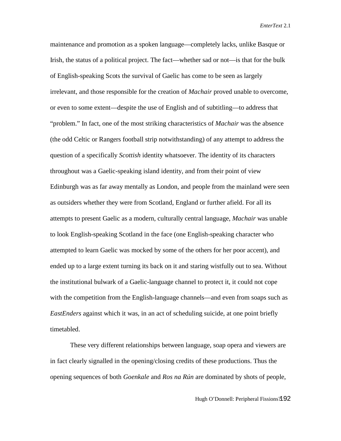maintenance and promotion as a spoken language—completely lacks, unlike Basque or Irish, the status of a political project. The fact—whether sad or not—is that for the bulk of English-speaking Scots the survival of Gaelic has come to be seen as largely irrelevant, and those responsible for the creation of *Machair* proved unable to overcome, or even to some extent—despite the use of English and of subtitling—to address that "problem." In fact, one of the most striking characteristics of *Machair* was the absence (the odd Celtic or Rangers football strip notwithstanding) of any attempt to address the question of a specifically *Scottish* identity whatsoever. The identity of its characters throughout was a Gaelic-speaking island identity, and from their point of view Edinburgh was as far away mentally as London, and people from the mainland were seen as outsiders whether they were from Scotland, England or further afield. For all its attempts to present Gaelic as a modern, culturally central language, *Machair* was unable to look English-speaking Scotland in the face (one English-speaking character who attempted to learn Gaelic was mocked by some of the others for her poor accent), and ended up to a large extent turning its back on it and staring wistfully out to sea. Without the institutional bulwark of a Gaelic-language channel to protect it, it could not cope with the competition from the English-language channels—and even from soaps such as *EastEnders* against which it was, in an act of scheduling suicide, at one point briefly timetabled.

These very different relationships between language, soap opera and viewers are in fact clearly signalled in the opening/closing credits of these productions. Thus the opening sequences of both *Goenkale* and *Ros na Rún* are dominated by shots of people,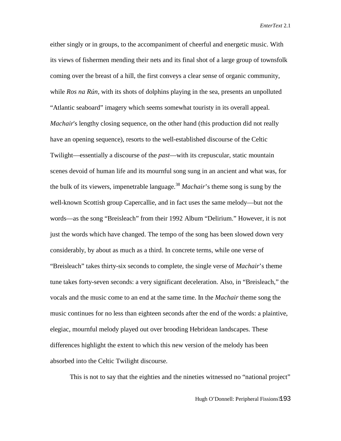either singly or in groups, to the accompaniment of cheerful and energetic music. With its views of fishermen mending their nets and its final shot of a large group of townsfolk coming over the breast of a hill, the first conveys a clear sense of organic community, while *Ros na Rún*, with its shots of dolphins playing in the sea, presents an unpolluted "Atlantic seaboard" imagery which seems somewhat touristy in its overall appeal. *Machair's lengthy closing sequence, on the other hand (this production did not really* have an opening sequence), resorts to the well-established discourse of the Celtic Twilight—essentially a discourse of the *past*—with its crepuscular, static mountain scenes devoid of human life and its mournful song sung in an ancient and what was, for the bulk of its viewers, impenetrable language.<sup>38</sup> *Machair*'s theme song is sung by the well-known Scottish group Capercallie, and in fact uses the same melody—but not the words—as the song "Breisleach" from their 1992 Album "Delirium." However, it is not just the words which have changed. The tempo of the song has been slowed down very considerably, by about as much as a third. In concrete terms, while one verse of "Breisleach" takes thirty-six seconds to complete, the single verse of *Machair*'s theme tune takes forty-seven seconds: a very significant deceleration. Also, in "Breisleach," the vocals and the music come to an end at the same time. In the *Machair* theme song the music continues for no less than eighteen seconds after the end of the words: a plaintive, elegiac, mournful melody played out over brooding Hebridean landscapes. These differences highlight the extent to which this new version of the melody has been absorbed into the Celtic Twilight discourse.

This is not to say that the eighties and the nineties witnessed no "national project"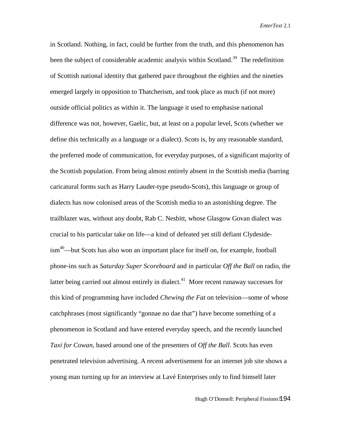in Scotland. Nothing, in fact, could be further from the truth, and this phenomenon has been the subject of considerable academic analysis within Scotland.<sup>39</sup> The redefinition of Scottish national identity that gathered pace throughout the eighties and the nineties emerged largely in opposition to Thatcherism, and took place as much (if not more) outside official politics as within it. The language it used to emphasise national difference was not, however, Gaelic, but, at least on a popular level, Scots (whether we define this technically as a language or a dialect). Scots is, by any reasonable standard, the preferred mode of communication, for everyday purposes, of a significant majority of the Scottish population. From being almost entirely absent in the Scottish media (barring caricatural forms such as Harry Lauder-type pseudo-Scots), this language or group of dialects has now colonised areas of the Scottish media to an astonishing degree. The trailblazer was, without any doubt, Rab C. Nesbitt, whose Glasgow Govan dialect was crucial to his particular take on life—a kind of defeated yet still defiant Clydesideism40—but Scots has also won an important place for itself on, for example, football phone-ins such as *Saturday Super Scoreboard* and in particular *Off the Ball* on radio, the latter being carried out almost entirely in dialect.<sup>41</sup> More recent runaway successes for this kind of programming have included *Chewing the Fat* on television—some of whose catchphrases (most significantly "gonnae no dae that") have become something of a phenomenon in Scotland and have entered everyday speech, and the recently launched *Taxi for Cowan*, based around one of the presenters of *Off the Ball*. Scots has even penetrated television advertising. A recent advertisement for an internet job site shows a young man turning up for an interview at Lavé Enterprises only to find himself later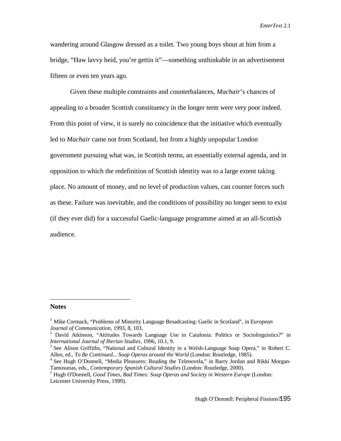wandering around Glasgow dressed as a toilet. Two young boys shout at him from a bridge, "Haw lavvy heid, you're gettin it"—something unthinkable in an advertisement fifteen or even ten years ago.

Given these multiple constraints and counterbalances, *Machair*'s chances of appealing to a broader Scottish constituency in the longer term were very poor indeed. From this point of view, it is surely no coincidence that the initiative which eventually led to *Machair* came not from Scotland, but from a highly unpopular London government pursuing what was, in Scottish terms, an essentially external agenda, and in opposition to which the redefinition of Scottish identity was to a large extent taking place. No amount of money, and no level of production values, can counter forces such as these. Failure was inevitable, and the conditions of possibility no longer seem to exist (if they ever did) for a successful Gaelic-language programme aimed at an all-Scottish audience.

## **Notes**

 $\overline{a}$ 

<sup>1</sup> Mike Cormack, "Problems of Minority Language Broadcasting: Gaelic in Scotland", in *European Journal of Communication,* 1993, 8, 103.

<sup>&</sup>lt;sup>2</sup> David Atkinson, "Attitudes Towards Language Use in Catalonia: Politics or Sociolinguistics?" in *International Journal of Iberian Studies*, 1996, 10.1, 9.

<sup>&</sup>lt;sup>3</sup> See Alison Griffiths, "National and Cultural Identity in a Welsh-Language Soap Opera," in Robert C. Allen, ed., *To Be Continued... Soap Operas around the World* (London: Routledge, 1985).

<sup>4</sup> See Hugh O'Donnell, "Media Pleasures: Reading the Telenovela," in Barry Jordan and Rikki Morgan-Tamosunas, eds., *Contemporary Spanish Cultural Studies* (London: Routledge, 2000).

<sup>5</sup> Hugh O'Donnell, *Good Times, Bad Times: Soap Operas and Society in Western Europe* (London: Leicester University Press, 1999).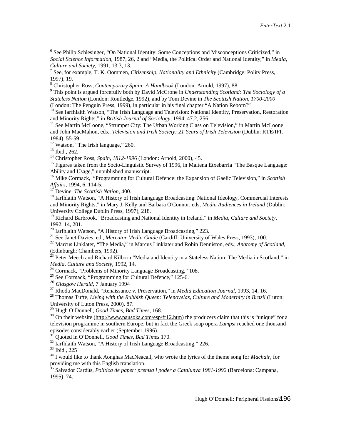<sup>6</sup> See Philip Schlesinger, "On National Identity: Some Conceptions and Misconceptions Criticized," in *Social Science Information,* 1987, 26, 2 and "Media, the Political Order and National Identity," in *Media, Culture and Society,* 1991, 13.3, 13.

7 See, for example, T. K. Oommen, *Citizenship, Nationality and Ethnicity* (Cambridge: Polity Press, 1997), 19.

<sup>8</sup> Christopher Ross, *Contemporary Spain: A Handbook* (London: Arnold, 1997), 88.

<sup>9</sup> This point is argued forcefully both by David McCrone in *Understanding Scotland: The Sociology of a Stateless Nation* (London: Routledge, 1992), and by Tom Devine in *The Scottish Nation, 1700-2000* (London: The Penguin Press, 1999), in particular in his final chapter "A Nation Reborn?"

<sup>10</sup> See Iarfhlaith Watson, "The Irish Language and Television: National Identity, Preservation, Restoration and Minority Rights," in *British Journal of Sociology*, 1994, 47.2, 256.

<sup>11</sup> See Martin McLoone, "Strumpet City: The Urban Working Class on Television," in Martin McLoone and John MacMahon, eds., *Television and Irish Society: 21 Years of Irish Television* (Dublin: RTÉ/IFI, 1984), 55-59.

<sup>12</sup> Watson, "The Irish language," 260.

<sup>13</sup> Ibid., 262.

 $\overline{a}$ 

<sup>14</sup> Christopher Ross, *Spain, 1812-1996* (London: Arnold, 2000), 45.

<sup>15</sup> Figures taken from the Socio-Linguistic Survey of 1996, in Maitena Etxebarría "The Basque Language: Ability and Usage," unpublished manuscript.

<sup>16</sup> Mike Cormack, "Programming for Cultural Defence: the Expansion of Gaelic Television," in *Scottish Affairs*, 1994, 6, 114-5.

<sup>17</sup> Devine, *The Scottish Nation*, 400.

<sup>18</sup> Iarfhlaith Watson, "A History of Irish Language Broadcasting: National Ideology, Commercial Interests and Minority Rights," in Mary J. Kelly and Barbara O'Connor, eds, *Media Audiences in Ireland* (Dublin: University College Dublin Press, 1997), 218.

<sup>19</sup> Richard Barbrook, "Broadcasting and National Identity in Ireland," in *Media, Culture and Society*, 1992, 14, 201.

 $20$  Iarfhlaith Watson, "A History of Irish Language Broadcasting," 223.

<sup>21</sup> See Janet Davies, ed., *Mercator Media Guide* (Cardiff: University of Wales Press, 1993), 100.

<sup>22</sup> Marcus Linklater, "The Media," in Marcus Linklater and Robin Denniston, eds., *Anatomy of Scotland*, (Edinburgh: Chambers, 1992).

 $^{23}$  Peter Meech and Richard Kilborn "Media and Identity in a Stateless Nation: The Media in Scotland," in *Media, Culture and Society*, 1992, 14.

<sup>24</sup> Cormack, "Problems of Minority Language Broadcasting," 108.

<sup>25</sup> See Cormack, "Programming for Cultural Defence," 125-6.

<sup>26</sup> *Glasgow Herald*, 7 January 1994

<sup>27</sup> Rhoda MacDonald, "Renaissance v. Preservation," in *Media Education Journal*, 1993, 14, 16.

28 Thomas Tufte, *Living with the Rubbish Queen: Telenovelas, Culture and Modernity in Brazil* (Luton: University of Luton Press, 2000), 87.

<sup>29</sup> Hugh O'Donnell, *Good Times, Bad Times*, 168.

 $30$  On their website (http://www.pausoka.com/esp/fr12.htm) the producers claim that this is "unique" for a television programme in southern Europe, but in fact the Greek soap opera *Lampsi* reached one thousand episodes considerably earlier (September 1996).

<sup>31</sup> Quoted in O'Donnell, *Good Times, Bad Times* 170.

<sup>32</sup> Iarfhlaith Watson, "A History of Irish Language Broadcasting," 226.

<sup>33</sup> Ibid., 225

<sup>34</sup> I would like to thank Aonghas MacNeacail, who wrote the lyrics of the theme song for *Machair*, for providing me with this English translation.

<sup>35</sup> Salvador Cardús, *Política de paper: premsa i poder a Catalunya 1981-1992* (Barcelona: Campana, 1995), 74.